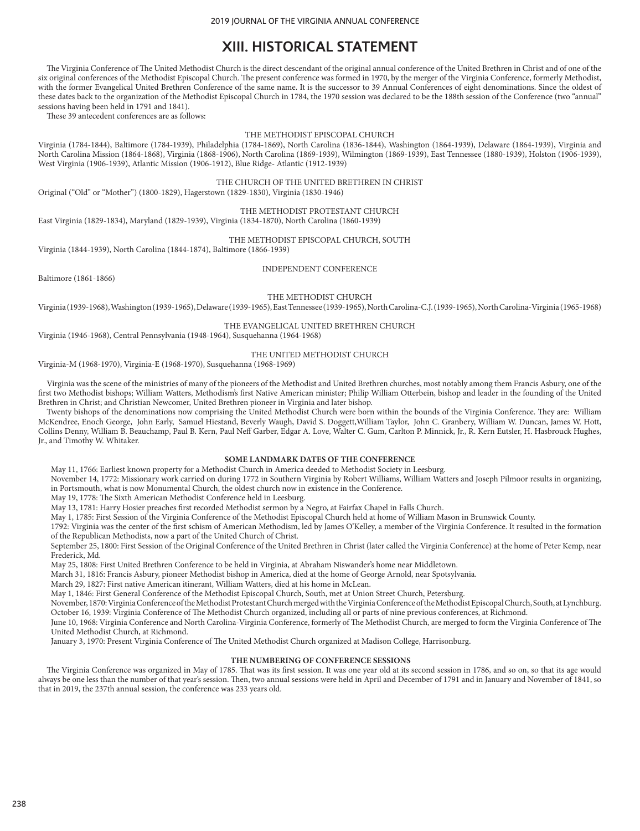# **XIII. HISTORICAL STATEMENT**

The Virginia Conference of The United Methodist Church is the direct descendant of the original annual conference of the United Brethren in Christ and of one of the six original conferences of the Methodist Episcopal Church. The present conference was formed in 1970, by the merger of the Virginia Conference, formerly Methodist, with the former Evangelical United Brethren Conference of the same name. It is the successor to 39 Annual Conferences of eight denominations. Since the oldest of these dates back to the organization of the Methodist Episcopal Church in 1784, the 1970 session was declared to be the 188th session of the Conference (two "annual" sessions having been held in 1791 and 1841).

These 39 antecedent conferences are as follows:

#### THE METHODIST EPISCOPAL CHURCH

Virginia (1784-1844), Baltimore (1784-1939), Philadelphia (1784-1869), North Carolina (1836-1844), Washington (1864-1939), Delaware (1864-1939), Virginia and North Carolina Mission (1864-1868), Virginia (1868-1906), North Carolina (1869-1939), Wilmington (1869-1939), East Tennessee (1880-1939), Holston (1906-1939), West Virginia (1906-1939), Atlantic Mission (1906-1912), Blue Ridge- Atlantic (1912-1939)

THE CHURCH OF THE UNITED BRETHREN IN CHRIST

Original ("Old" or "Mother") (1800-1829), Hagerstown (1829-1830), Virginia (1830-1946)

## THE METHODIST PROTESTANT CHURCH

East Virginia (1829-1834), Maryland (1829-1939), Virginia (1834-1870), North Carolina (1860-1939)

# THE METHODIST EPISCOPAL CHURCH, SOUTH

Virginia (1844-1939), North Carolina (1844-1874), Baltimore (1866-1939)

INDEPENDENT CONFERENCE

Baltimore (1861-1866)

THE METHODIST CHURCH

Virginia (1939-1968), Washington (1939-1965), Delaware (1939-1965), East Tennessee (1939-1965), North Carolina-C.J. (1939-1965), North Carolina-Virginia (1965-1968)

#### THE EVANGELICAL UNITED BRETHREN CHURCH

Virginia (1946-1968), Central Pennsylvania (1948-1964), Susquehanna (1964-1968)

#### THE UNITED METHODIST CHURCH

Virginia-M (1968-1970), Virginia-E (1968-1970), Susquehanna (1968-1969)

Virginia was the scene of the ministries of many of the pioneers of the Methodist and United Brethren churches, most notably among them Francis Asbury, one of the first two Methodist bishops; William Watters, Methodism's first Native American minister; Philip William Otterbein, bishop and leader in the founding of the United Brethren in Christ; and Christian Newcomer, United Brethren pioneer in Virginia and later bishop.

Twenty bishops of the denominations now comprising the United Methodist Church were born within the bounds of the Virginia Conference. They are: William McKendree, Enoch George, John Early, Samuel Hiestand, Beverly Waugh, David S. Doggett,William Taylor, John C. Granbery, William W. Duncan, James W. Hott, Collins Denny, William B. Beauchamp, Paul B. Kern, Paul Neff Garber, Edgar A. Love, Walter C. Gum, Carlton P. Minnick, Jr., R. Kern Eutsler, H. Hasbrouck Hughes, Jr., and Timothy W. Whitaker.

#### **SOME LANDMARK DATES OF THE CONFERENCE**

May 11, 1766: Earliest known property for a Methodist Church in America deeded to Methodist Society in Leesburg.

November 14, 1772: Missionary work carried on during 1772 in Southern Virginia by Robert Williams, William Watters and Joseph Pilmoor results in organizing, in Portsmouth, what is now Monumental Church, the oldest church now in existence in the Conference.

May 19, 1778: The Sixth American Methodist Conference held in Leesburg.

May 13, 1781: Harry Hosier preaches first recorded Methodist sermon by a Negro, at Fairfax Chapel in Falls Church.

May 1, 1785: First Session of the Virginia Conference of the Methodist Episcopal Church held at home of William Mason in Brunswick County.

1792: Virginia was the center of the first schism of American Methodism, led by James O'Kelley, a member of the Virginia Conference. It resulted in the formation of the Republican Methodists, now a part of the United Church of Christ.

September 25, 1800: First Session of the Original Conference of the United Brethren in Christ (later called the Virginia Conference) at the home of Peter Kemp, near Frederick, Md.

May 25, 1808: First United Brethren Conference to be held in Virginia, at Abraham Niswander's home near Middletown.

March 31, 1816: Francis Asbury, pioneer Methodist bishop in America, died at the home of George Arnold, near Spotsylvania.

March 29, 1827: First native American itinerant, William Watters, died at his home in McLean.

May 1, 1846: First General Conference of the Methodist Episcopal Church, South, met at Union Street Church, Petersburg.

November, 1870: Virginia Conference of the Methodist Protestant Church merged with the Virginia Conference of the Methodist Episcopal Church, South, at Lynchburg. October 16, 1939: Virginia Conference of The Methodist Church organized, including all or parts of nine previous conferences, at Richmond.

June 10, 1968: Virginia Conference and North Carolina-Virginia Conference, formerly of The Methodist Church, are merged to form the Virginia Conference of The United Methodist Church, at Richmond.

January 3, 1970: Present Virginia Conference of The United Methodist Church organized at Madison College, Harrisonburg.

## **THE NUMBERING OF CONFERENCE SESSIONS**

The Virginia Conference was organized in May of 1785. That was its first session. It was one year old at its second session in 1786, and so on, so that its age would always be one less than the number of that year's session. Then, two annual sessions were held in April and December of 1791 and in January and November of 1841, so that in 2019, the 237th annual session, the conference was 233 years old.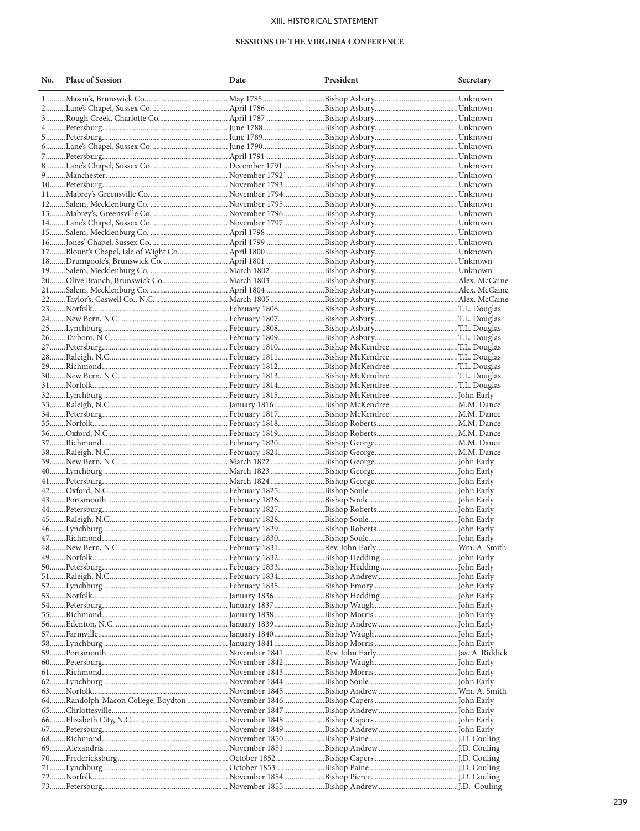# XIII. HISTORICAL STATEMENT

### SESSIONS OF THE VIRGINIA CONFERENCE

| No. | <b>Place of Session</b> | Date | President | Secretary |
|-----|-------------------------|------|-----------|-----------|
|     |                         |      |           |           |
|     |                         |      |           |           |
|     |                         |      |           |           |
|     |                         |      |           |           |
|     |                         |      |           |           |
|     |                         |      |           |           |
|     |                         |      |           |           |
|     |                         |      |           |           |
|     |                         |      |           |           |
|     |                         |      |           |           |
|     |                         |      |           |           |
|     |                         |      |           |           |
|     |                         |      |           |           |
|     |                         |      |           |           |
|     |                         |      |           |           |
|     |                         |      |           |           |
|     |                         |      |           |           |
|     |                         |      |           |           |
|     |                         |      |           |           |
|     |                         |      |           |           |
|     |                         |      |           |           |
|     |                         |      |           |           |
|     |                         |      |           |           |
|     |                         |      |           |           |
|     |                         |      |           |           |
|     |                         |      |           |           |
|     |                         |      |           |           |
|     |                         |      |           |           |
|     |                         |      |           |           |
|     |                         |      |           |           |
|     |                         |      |           |           |
|     |                         |      |           |           |
|     |                         |      |           |           |
|     |                         |      |           |           |
|     |                         |      |           |           |
|     |                         |      |           |           |
|     |                         |      |           |           |
|     |                         |      |           |           |
|     |                         |      |           |           |
|     |                         |      |           |           |
|     |                         |      |           |           |
|     |                         |      |           |           |
|     |                         |      |           |           |
|     |                         |      |           |           |
|     |                         |      |           |           |
|     |                         |      |           |           |
|     |                         |      |           |           |
|     |                         |      |           |           |
|     |                         |      |           |           |
|     |                         |      |           |           |
|     |                         |      |           |           |
|     |                         |      |           |           |
|     |                         |      |           |           |
|     |                         |      |           |           |
|     |                         |      |           |           |
|     |                         |      |           |           |
|     |                         |      |           |           |
|     |                         |      |           |           |
|     |                         |      |           |           |
|     |                         |      |           |           |
|     |                         |      |           |           |
|     |                         |      |           |           |
|     |                         |      |           |           |
|     |                         |      |           |           |
|     |                         |      |           |           |
|     |                         |      |           |           |
|     |                         |      |           |           |
|     |                         |      |           |           |
|     |                         |      |           |           |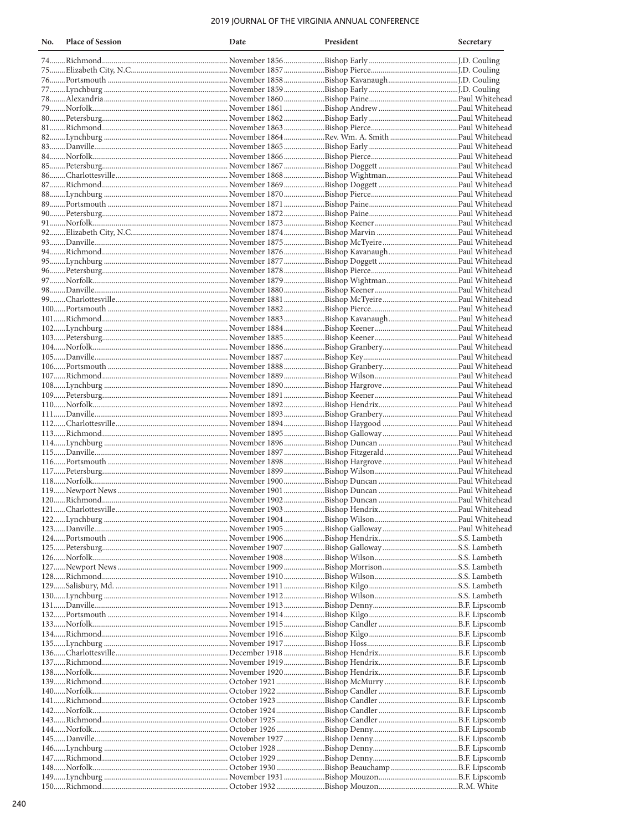# 2019 JOURNAL OF THE VIRGINIA ANNUAL CONFERENCE

| No. | <b>Place of Session</b> | Date | President | Secretary |
|-----|-------------------------|------|-----------|-----------|
|     |                         |      |           |           |
|     |                         |      |           |           |
|     |                         |      |           |           |
|     |                         |      |           |           |
|     |                         |      |           |           |
|     |                         |      |           |           |
|     |                         |      |           |           |
|     |                         |      |           |           |
|     |                         |      |           |           |
|     |                         |      |           |           |
|     |                         |      |           |           |
|     |                         |      |           |           |
|     |                         |      |           |           |
|     |                         |      |           |           |
|     |                         |      |           |           |
|     |                         |      |           |           |
|     |                         |      |           |           |
|     |                         |      |           |           |
|     |                         |      |           |           |
|     |                         |      |           |           |
|     |                         |      |           |           |
|     |                         |      |           |           |
|     |                         |      |           |           |
|     |                         |      |           |           |
|     |                         |      |           |           |
|     |                         |      |           |           |
|     |                         |      |           |           |
|     |                         |      |           |           |
|     |                         |      |           |           |
|     |                         |      |           |           |
|     |                         |      |           |           |
|     |                         |      |           |           |
|     |                         |      |           |           |
|     |                         |      |           |           |
|     |                         |      |           |           |
|     |                         |      |           |           |
|     |                         |      |           |           |
|     |                         |      |           |           |
|     |                         |      |           |           |
|     |                         |      |           |           |
|     |                         |      |           |           |
|     |                         |      |           |           |
|     |                         |      |           |           |
|     |                         |      |           |           |
|     |                         |      |           |           |
|     |                         |      |           |           |
|     |                         |      |           |           |
|     |                         |      |           |           |
|     |                         |      |           |           |
|     |                         |      |           |           |
|     |                         |      |           |           |
|     |                         |      |           |           |
|     |                         |      |           |           |
|     |                         |      |           |           |
|     |                         |      |           |           |
|     |                         |      |           |           |
|     |                         |      |           |           |
|     |                         |      |           |           |
|     |                         |      |           |           |
|     |                         |      |           |           |
|     |                         |      |           |           |
|     |                         |      |           |           |
|     |                         |      |           |           |
|     |                         |      |           |           |
|     |                         |      |           |           |
|     |                         |      |           |           |
|     |                         |      |           |           |
|     |                         |      |           |           |
|     |                         |      |           |           |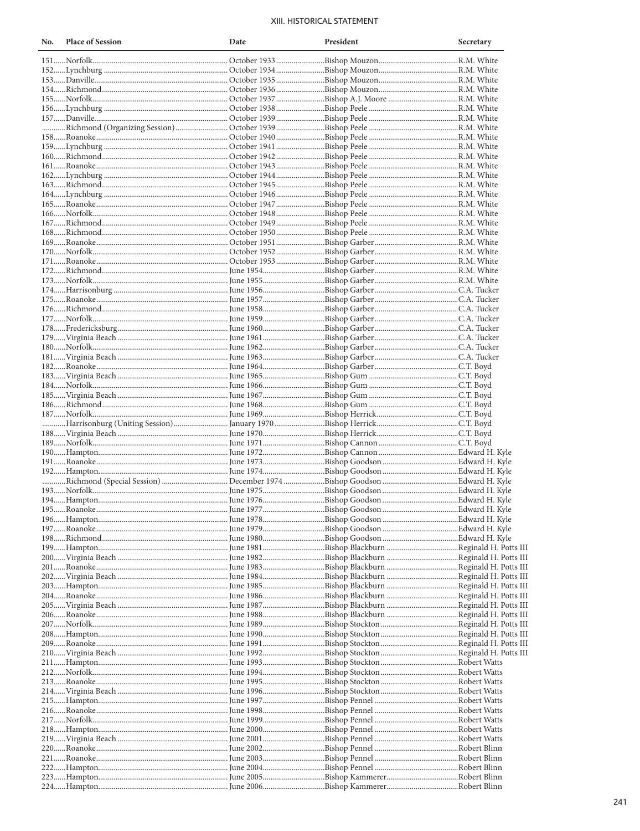# XIII. HISTORICAL STATEMENT

| No. | <b>Place of Session</b>                                                                                             | Date | President | Secretary |
|-----|---------------------------------------------------------------------------------------------------------------------|------|-----------|-----------|
|     |                                                                                                                     |      |           |           |
|     |                                                                                                                     |      |           |           |
|     |                                                                                                                     |      |           |           |
|     |                                                                                                                     |      |           |           |
|     |                                                                                                                     |      |           |           |
|     |                                                                                                                     |      |           |           |
|     |                                                                                                                     |      |           |           |
|     |                                                                                                                     |      |           |           |
|     |                                                                                                                     |      |           |           |
|     |                                                                                                                     |      |           |           |
|     |                                                                                                                     |      |           |           |
|     |                                                                                                                     |      |           |           |
|     |                                                                                                                     |      |           |           |
|     |                                                                                                                     |      |           |           |
|     |                                                                                                                     |      |           |           |
|     |                                                                                                                     |      |           |           |
|     |                                                                                                                     |      |           |           |
|     |                                                                                                                     |      |           |           |
|     |                                                                                                                     |      |           |           |
|     |                                                                                                                     |      |           |           |
|     |                                                                                                                     |      |           |           |
|     |                                                                                                                     |      |           |           |
|     |                                                                                                                     |      |           |           |
|     |                                                                                                                     |      |           |           |
|     |                                                                                                                     |      |           |           |
|     |                                                                                                                     |      |           |           |
|     |                                                                                                                     |      |           |           |
|     |                                                                                                                     |      |           |           |
|     |                                                                                                                     |      |           |           |
|     |                                                                                                                     |      |           |           |
|     |                                                                                                                     |      |           |           |
|     |                                                                                                                     |      |           |           |
|     |                                                                                                                     |      |           |           |
|     |                                                                                                                     |      |           |           |
|     |                                                                                                                     |      |           |           |
|     |                                                                                                                     |      |           |           |
|     |                                                                                                                     |      |           |           |
|     |                                                                                                                     |      |           |           |
|     |                                                                                                                     |      |           |           |
|     |                                                                                                                     |      |           |           |
|     |                                                                                                                     |      |           |           |
|     |                                                                                                                     |      |           |           |
|     |                                                                                                                     |      |           |           |
|     |                                                                                                                     |      |           |           |
|     |                                                                                                                     |      |           |           |
|     |                                                                                                                     |      |           |           |
|     |                                                                                                                     |      |           |           |
|     |                                                                                                                     |      |           |           |
|     | 197……Roanoke……………………………………………………………… June 1979……………………………Bishop Goodson ……………………………………Edward H. Kyle                |      |           |           |
|     |                                                                                                                     |      |           |           |
|     |                                                                                                                     |      |           |           |
|     | 200…… Virginia Beach ……………………………………………………… June 1982………………………………Bishop Blackburn …………………………………Reginald H. Potts III |      |           |           |
|     |                                                                                                                     |      |           |           |
|     | 202……Virginia Beach ……………………………………………………… June 1984………………………………Bishop Blackburn …………………………………Reginald H. Potts III  |      |           |           |
|     |                                                                                                                     |      |           |           |
|     | 204……Roanoke…………………………………………………………………………June 1986………………………………Bishop Blackburn ………………………………Reginald H. Potts III     |      |           |           |
|     |                                                                                                                     |      |           |           |
|     |                                                                                                                     |      |           |           |
|     |                                                                                                                     |      |           |           |
|     | 208……Hampton…………………………………………………………………………June 1990………………………………Bishop Stockton……………………………………Reginald H. Potts III     |      |           |           |
|     |                                                                                                                     |      |           |           |
|     |                                                                                                                     |      |           |           |
|     |                                                                                                                     |      |           |           |
|     |                                                                                                                     |      |           |           |
|     |                                                                                                                     |      |           |           |
|     |                                                                                                                     |      |           |           |
|     |                                                                                                                     |      |           |           |
|     |                                                                                                                     |      |           |           |
|     |                                                                                                                     |      |           |           |
|     | 218……Hampton………………………………………………………………………June 2000………………………………Bishop Pennel ………………………………………Robert Watts               |      |           |           |
|     |                                                                                                                     |      |           |           |
|     |                                                                                                                     |      |           |           |
|     | 222……Hampton………………………………………………………………………June 2004………………………………Bishop Pennel ………………………………………Robert Blinn               |      |           |           |
|     |                                                                                                                     |      |           |           |
|     |                                                                                                                     |      |           |           |
|     |                                                                                                                     |      |           |           |